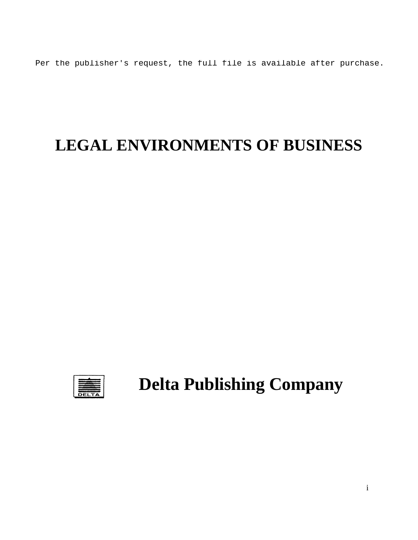Per the publisher's request, the full file is available after purchase.

# **LEGAL ENVIRONMENTS OF BUSINESS**



**Delta Publishing Company**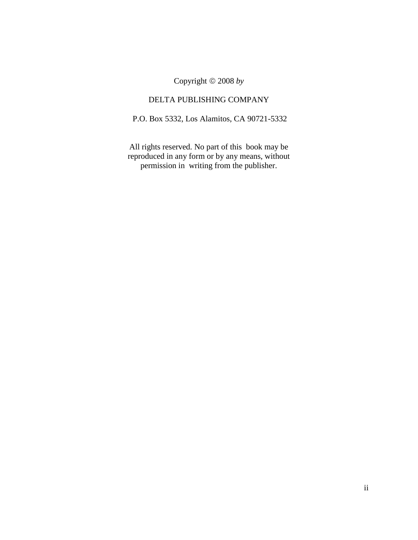Copyright 2008 *by*

#### DELTA PUBLISHING COMPANY

P.O. Box 5332, Los Alamitos, CA 90721-5332

All rights reserved. No part of this book may be reproduced in any form or by any means, without permission in writing from the publisher.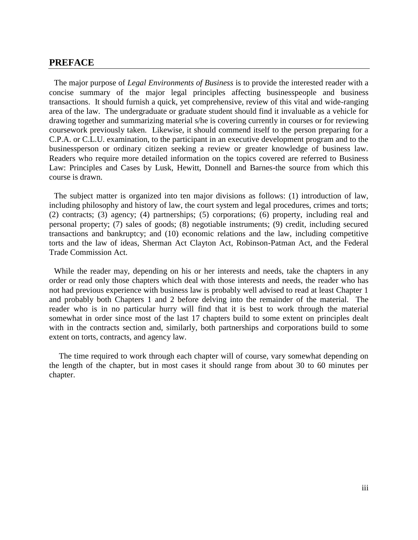#### **PREFACE**

The major purpose of *Legal Environments of Business* is to provide the interested reader with a concise summary of the major legal principles affecting businesspeople and business transactions. It should furnish a quick, yet comprehensive, review of this vital and wide-ranging area of the law. The undergraduate or graduate student should find it invaluable as a vehicle for drawing together and summarizing material s/he is covering currently in courses or for reviewing coursework previously taken. Likewise, it should commend itself to the person preparing for a C.P.A. or C.L.U. examination, to the participant in an executive development program and to the businessperson or ordinary citizen seeking a review or greater knowledge of business law. Readers who require more detailed information on the topics covered are referred to Business Law: Principles and Cases by Lusk, Hewitt, Donnell and Barnes-the source from which this course is drawn.

The subject matter is organized into ten major divisions as follows: (1) introduction of law, including philosophy and history of law, the court system and legal procedures, crimes and torts; (2) contracts; (3) agency; (4) partnerships; (5) corporations; (6) property, including real and personal property; (7) sales of goods; (8) negotiable instruments; (9) credit, including secured transactions and bankruptcy; and (10) economic relations and the law, including competitive torts and the law of ideas, Sherman Act Clayton Act, Robinson-Patman Act, and the Federal Trade Commission Act.

While the reader may, depending on his or her interests and needs, take the chapters in any order or read only those chapters which deal with those interests and needs, the reader who has not had previous experience with business law is probably well advised to read at least Chapter 1 and probably both Chapters 1 and 2 before delving into the remainder of the material. The reader who is in no particular hurry will find that it is best to work through the material somewhat in order since most of the last 17 chapters build to some extent on principles dealt with in the contracts section and, similarly, both partnerships and corporations build to some extent on torts, contracts, and agency law.

The time required to work through each chapter will of course, vary somewhat depending on the length of the chapter, but in most cases it should range from about 30 to 60 minutes per chapter.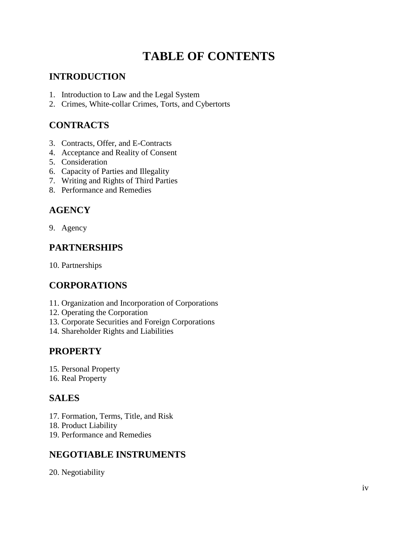# **TABLE OF CONTENTS**

### **INTRODUCTION**

- 1. Introduction to Law and the Legal System
- 2. Crimes, White-collar Crimes, Torts, and Cybertorts

#### **CONTRACTS**

- 3. Contracts, Offer, and E-Contracts
- 4. Acceptance and Reality of Consent
- 5. Consideration
- 6. Capacity of Parties and Illegality
- 7. Writing and Rights of Third Parties
- 8. Performance and Remedies

### **AGENCY**

9. Agency

### **PARTNERSHIPS**

10. Partnerships

# **CORPORATIONS**

- 11. Organization and Incorporation of Corporations
- 12. Operating the Corporation
- 13. Corporate Securities and Foreign Corporations
- 14. Shareholder Rights and Liabilities

#### **PROPERTY**

15. Personal Property

16. Real Property

# **SALES**

- 17. Formation, Terms, Title, and Risk
- 18. Product Liability
- 19. Performance and Remedies

#### **NEGOTIABLE INSTRUMENTS**

20. Negotiability